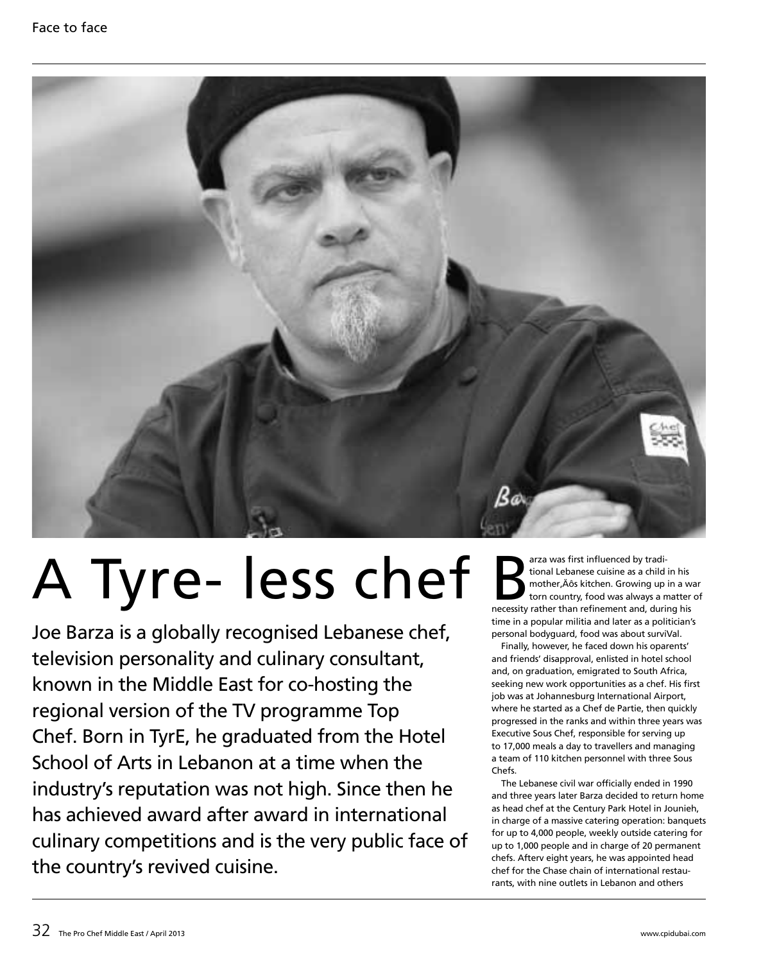

# A Tyre- less chef

Joe Barza is a globally recognised Lebanese chef, television personality and culinary consultant, known in the Middle East for co-hosting the regional version of the TV programme Top Chef. Born in TyrE, he graduated from the Hotel School of Arts in Lebanon at a time when the industry's reputation was not high. Since then he has achieved award after award in international culinary competitions and is the very public face of the country's revived cuisine.

arza was first influenced by tradi-<br>tional Lebanese cuisine as a child in his<br>mother, Äôs kitchen. Growing up in a w<br>torn country, food was always a matter<br>necessity rather than refinement and, during his tional Lebanese cuisine as a child in his mother, Äôs kitchen. Growing up in a war torn country, food was always a matter of time in a popular militia and later as a politician's personal bodyguard, food was about surviVal.

Finally, however, he faced down his oparents' and friends' disapproval, enlisted in hotel school and, on graduation, emigrated to South Africa, seeking new work opportunities as a chef. His first job was at Johannesburg International Airport, where he started as a Chef de Partie, then quickly progressed in the ranks and within three years was Executive Sous Chef, responsible for serving up to 17,000 meals a day to travellers and managing a team of 110 kitchen personnel with three Sous Chefs.

The Lebanese civil war officially ended in 1990 and three years later Barza decided to return home as head chef at the Century Park Hotel in Jounieh, in charge of a massive catering operation: banquets for up to 4,000 people, weekly outside catering for up to 1,000 people and in charge of 20 permanent chefs. Afterv eight years, he was appointed head chef for the Chase chain of international restaurants, with nine outlets in Lebanon and others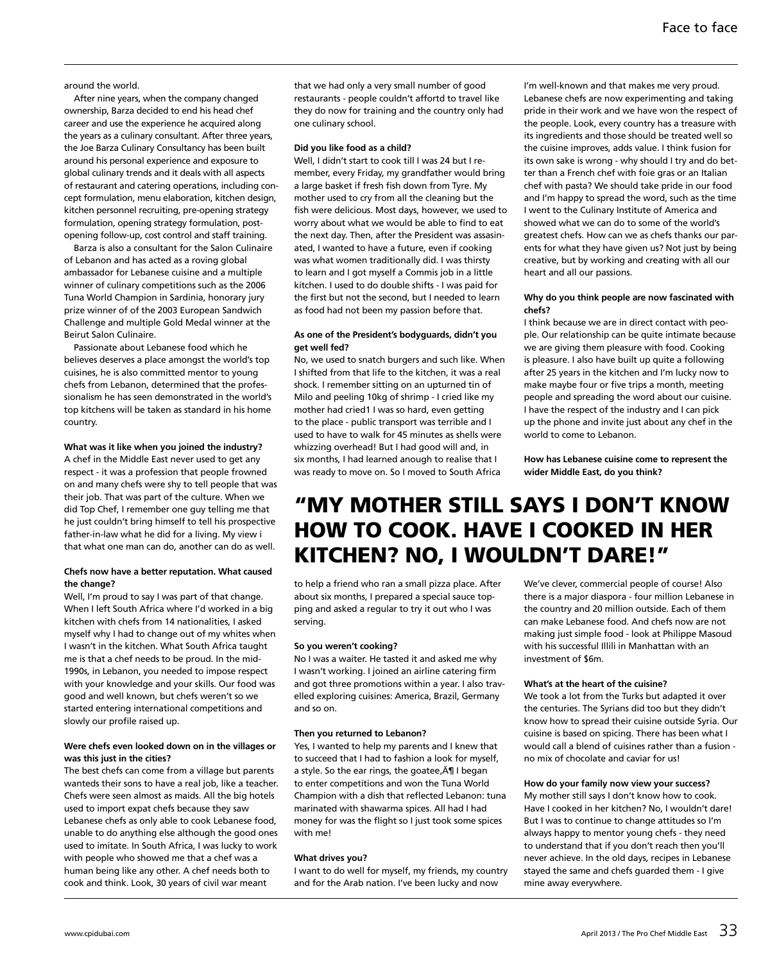#### around the world.

After nine years, when the company changed ownership, Barza decided to end his head chef career and use the experience he acquired along the years as a culinary consultant. After three years, the Joe Barza Culinary Consultancy has been built around his personal experience and exposure to global culinary trends and it deals with all aspects of restaurant and catering operations, including concept formulation, menu elaboration, kitchen design, kitchen personnel recruiting, pre-opening strategy formulation, opening strategy formulation, postopening follow-up, cost control and staff training.

Barza is also a consultant for the Salon Culinaire of Lebanon and has acted as a roving global ambassador for Lebanese cuisine and a multiple winner of culinary competitions such as the 2006 Tuna World Champion in Sardinia, honorary jury prize winner of of the 2003 European Sandwich Challenge and multiple Gold Medal winner at the Beirut Salon Culinaire.

Passionate about Lebanese food which he believes deserves a place amongst the world's top cuisines, he is also committed mentor to young chefs from Lebanon, determined that the professionalism he has seen demonstrated in the world's top kitchens will be taken as standard in his home country.

# **What was it like when you joined the industry?**

A chef in the Middle East never used to get any respect - it was a profession that people frowned on and many chefs were shy to tell people that was their job. That was part of the culture. When we did Top Chef, I remember one guy telling me that he just couldn't bring himself to tell his prospective father-in-law what he did for a living. My view i that what one man can do, another can do as well.

#### **Chefs now have a better reputation. What caused the change?**

Well, I'm proud to say I was part of that change. When I left South Africa where I'd worked in a big kitchen with chefs from 14 nationalities, I asked myself why I had to change out of my whites when I wasn't in the kitchen. What South Africa taught me is that a chef needs to be proud. In the mid-1990s, in Lebanon, you needed to impose respect with your knowledge and your skills. Our food was good and well known, but chefs weren't so we started entering international competitions and slowly our profile raised up.

# **Were chefs even looked down on in the villages or was this just in the cities?**

The best chefs can come from a village but parents wanteds their sons to have a real job, like a teacher. Chefs were seen almost as maids. All the big hotels used to import expat chefs because they saw Lebanese chefs as only able to cook Lebanese food, unable to do anything else although the good ones used to imitate. In South Africa, I was lucky to work with people who showed me that a chef was a human being like any other. A chef needs both to cook and think. Look, 30 years of civil war meant

that we had only a very small number of good restaurants - people couldn't affortd to travel like they do now for training and the country only had one culinary school.

#### **Did you like food as a child?**

Well, I didn't start to cook till I was 24 but I remember, every Friday, my grandfather would bring a large basket if fresh fish down from Tyre. My mother used to cry from all the cleaning but the fish were delicious. Most days, however, we used to worry about what we would be able to find to eat the next day. Then, after the President was assasinated, I wanted to have a future, even if cooking was what women traditionally did. I was thirsty to learn and I got myself a Commis job in a little kitchen. I used to do double shifts - I was paid for the first but not the second, but I needed to learn as food had not been my passion before that.

# **As one of the President's bodyguards, didn't you get well fed?**

No, we used to snatch burgers and such like. When I shifted from that life to the kitchen, it was a real shock. I remember sitting on an upturned tin of Milo and peeling 10kg of shrimp - I cried like my mother had cried1 I was so hard, even getting to the place - public transport was terrible and I used to have to walk for 45 minutes as shells were whizzing overhead! But I had good will and, in six months, I had learned anough to realise that I was ready to move on. So I moved to South Africa

I'm well-known and that makes me very proud. Lebanese chefs are now experimenting and taking pride in their work and we have won the respect of the people. Look, every country has a treasure with its ingredients and those should be treated well so the cuisine improves, adds value. I think fusion for its own sake is wrong - why should I try and do better than a French chef with foie gras or an Italian chef with pasta? We should take pride in our food and I'm happy to spread the word, such as the time I went to the Culinary Institute of America and showed what we can do to some of the world's greatest chefs. How can we as chefs thanks our parents for what they have given us? Not just by being creative, but by working and creating with all our heart and all our passions.

# **Why do you think people are now fascinated with chefs?**

I think because we are in direct contact with people. Our relationship can be quite intimate because we are giving them pleasure with food. Cooking is pleasure. I also have built up quite a following after 25 years in the kitchen and I'm lucky now to make maybe four or five trips a month, meeting people and spreading the word about our cuisine. I have the respect of the industry and I can pick up the phone and invite just about any chef in the world to come to Lebanon.

**How has Lebanese cuisine come to represent the wider Middle East, do you think?**

# "My mother still says I don't know how to cook. Have I cooked in her kitchen? No, I wouldn't dare!"

to help a friend who ran a small pizza place. After about six months, I prepared a special sauce topping and asked a regular to try it out who I was serving.

#### **So you weren't cooking?**

No I was a waiter. He tasted it and asked me why I wasn't working. I joined an airline catering firm and got three promotions within a year. I also travelled exploring cuisines: America, Brazil, Germany and so on.

#### **Then you returned to Lebanon?**

Yes, I wanted to help my parents and I knew that to succeed that I had to fashion a look for myself, a style. So the ear rings, the goatee,  $\text{A} \P$  I began to enter competitions and won the Tuna World Champion with a dish that reflected Lebanon: tuna marinated with shawarma spices. All had I had money for was the flight so I just took some spices with me!

#### **What drives you?**

I want to do well for myself, my friends, my country and for the Arab nation. I've been lucky and now

We've clever, commercial people of course! Also there is a major diaspora - four million Lebanese in the country and 20 million outside. Each of them can make Lebanese food. And chefs now are not making just simple food - look at Philippe Masoud with his successful Illili in Manhattan with an investment of \$6m.

# **What's at the heart of the cuisine?**

We took a lot from the Turks but adapted it over the centuries. The Syrians did too but they didn't know how to spread their cuisine outside Syria. Our cuisine is based on spicing. There has been what I would call a blend of cuisines rather than a fusion no mix of chocolate and caviar for us!

# **How do your family now view your success?**

My mother still says I don't know how to cook. Have I cooked in her kitchen? No, I wouldn't dare! But I was to continue to change attitudes so I'm always happy to mentor young chefs - they need to understand that if you don't reach then you'll never achieve. In the old days, recipes in Lebanese stayed the same and chefs guarded them - I give mine away everywhere.